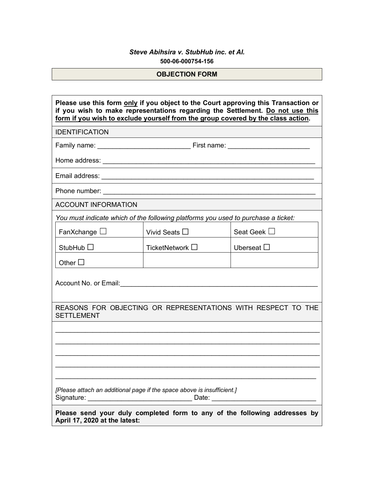## *Steve Abihsira v. StubHub inc. et Al.* **500-06-000754-156**

## **OBJECTION FORM**

| Please use this form only if you object to the Court approving this Transaction or<br>if you wish to make representations regarding the Settlement. Do not use this<br>form if you wish to exclude yourself from the group covered by the class action. |                         |                  |  |
|---------------------------------------------------------------------------------------------------------------------------------------------------------------------------------------------------------------------------------------------------------|-------------------------|------------------|--|
| <b>IDENTIFICATION</b>                                                                                                                                                                                                                                   |                         |                  |  |
|                                                                                                                                                                                                                                                         |                         |                  |  |
|                                                                                                                                                                                                                                                         |                         |                  |  |
|                                                                                                                                                                                                                                                         |                         |                  |  |
|                                                                                                                                                                                                                                                         |                         |                  |  |
| <b>ACCOUNT INFORMATION</b>                                                                                                                                                                                                                              |                         |                  |  |
| You must indicate which of the following platforms you used to purchase a ticket:                                                                                                                                                                       |                         |                  |  |
| FanXchange $\Box$                                                                                                                                                                                                                                       | Vivid Seats $\square$   | Seat Geek $\Box$ |  |
| StubHub $\Box$                                                                                                                                                                                                                                          | TicketNetwork $\square$ | Uberseat $\Box$  |  |
| Other $\square$                                                                                                                                                                                                                                         |                         |                  |  |
| Account No. or Email: Account No. or Email:                                                                                                                                                                                                             |                         |                  |  |
| REASONS FOR OBJECTING OR REPRESENTATIONS WITH RESPECT TO THE<br><b>SETTLEMENT</b>                                                                                                                                                                       |                         |                  |  |
|                                                                                                                                                                                                                                                         |                         |                  |  |
|                                                                                                                                                                                                                                                         |                         |                  |  |
|                                                                                                                                                                                                                                                         |                         |                  |  |
|                                                                                                                                                                                                                                                         |                         |                  |  |
| [Please attach an additional page if the space above is insufficient.]                                                                                                                                                                                  |                         |                  |  |
| Please send your duly completed form to any of the following addresses by<br>April 17, 2020 at the latest:                                                                                                                                              |                         |                  |  |